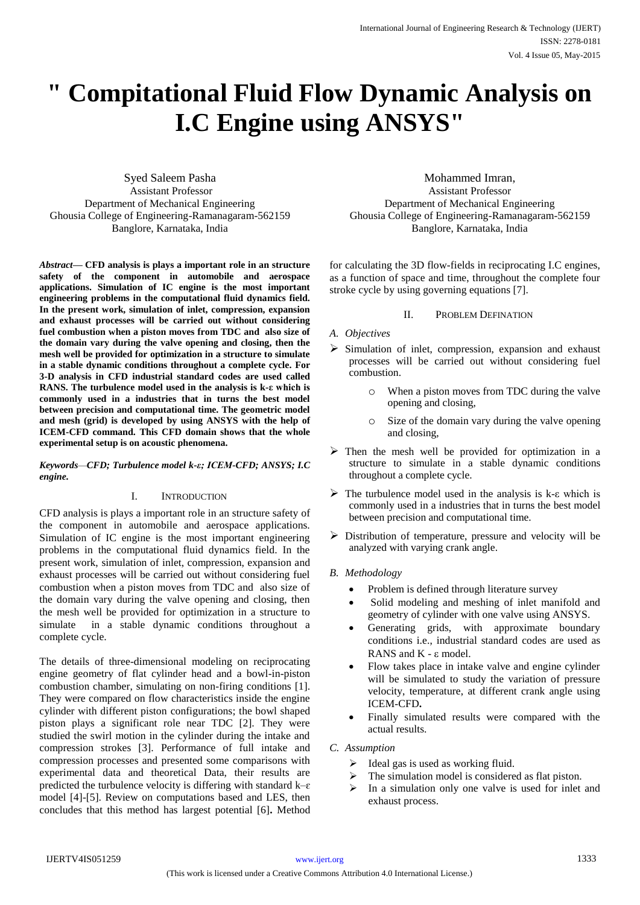# **" Compitational Fluid Flow Dynamic Analysis on I.C Engine using ANSYS"**

Syed Saleem Pasha Assistant Professor Department of Mechanical Engineering Ghousia College of Engineering-Ramanagaram-562159 Banglore, Karnataka, India

*Abstract***— CFD analysis is plays a important role in an structure safety of the component in automobile and aerospace applications. Simulation of IC engine is the most important engineering problems in the computational fluid dynamics field. In the present work, simulation of inlet, compression, expansion and exhaust processes will be carried out without considering fuel combustion when a piston moves from TDC and also size of the domain vary during the valve opening and closing, then the mesh well be provided for optimization in a structure to simulate in a stable dynamic conditions throughout a complete cycle. For 3-D analysis in CFD industrial standard codes are used called RANS. The turbulence model used in the analysis is k-ε which is commonly used in a industries that in turns the best model between precision and computational time. The geometric model and mesh (grid) is developed by using ANSYS with the help of ICEM-CFD command. This CFD domain shows that the whole experimental setup is on acoustic phenomena.** 

*Keywords—CFD; Turbulence model k-ε; ICEM-CFD; ANSYS; I.C engine.* 

#### I. INTRODUCTION

CFD analysis is plays a important role in an structure safety of the component in automobile and aerospace applications. Simulation of IC engine is the most important engineering problems in the computational fluid dynamics field. In the present work, simulation of inlet, compression, expansion and exhaust processes will be carried out without considering fuel combustion when a piston moves from TDC and also size of the domain vary during the valve opening and closing, then the mesh well be provided for optimization in a structure to simulate in a stable dynamic conditions throughout a complete cycle.

The details of three-dimensional modeling on reciprocating engine geometry of flat cylinder head and a bowl-in-piston combustion chamber, simulating on non-firing conditions [1]. They were compared on flow characteristics inside the engine cylinder with different piston configurations; the bowl shaped piston plays a significant role near TDC [2]. They were studied the swirl motion in the cylinder during the intake and compression strokes [3]. Performance of full intake and compression processes and presented some comparisons with experimental data and theoretical Data, their results are predicted the turbulence velocity is differing with standard  $k-\varepsilon$ model [4]-[5]. Review on computations based and LES, then concludes that this method has largest potential [6]**.** Method

Mohammed Imran, Assistant Professor Department of Mechanical Engineering Ghousia College of Engineering-Ramanagaram-562159 Banglore, Karnataka, India

for calculating the 3D flow-fields in reciprocating I.C engines, as a function of space and time, throughout the complete four stroke cycle by using governing equations [7].

#### II. PROBLEM DEFINATION

#### *A. Objectives*

- $\triangleright$  Simulation of inlet, compression, expansion and exhaust processes will be carried out without considering fuel combustion.
	- o When a piston moves from TDC during the valve opening and closing,
	- o Size of the domain vary during the valve opening and closing,
- $\triangleright$  Then the mesh well be provided for optimization in a structure to simulate in a stable dynamic conditions throughout a complete cycle.
- $\triangleright$  The turbulence model used in the analysis is k-ε which is commonly used in a industries that in turns the best model between precision and computational time.
- $\triangleright$  Distribution of temperature, pressure and velocity will be analyzed with varying crank angle.

#### *B. Methodology*

- Problem is defined through literature survey
- Solid modeling and meshing of inlet manifold and geometry of cylinder with one valve using ANSYS.
- Generating grids, with approximate boundary conditions i.e., industrial standard codes are used as RANS and  $K - \varepsilon$  model.
- Flow takes place in intake valve and engine cylinder will be simulated to study the variation of pressure velocity, temperature, at different crank angle using ICEM-CFD**.**
- Finally simulated results were compared with the actual results.

### *C. Assumption*

- $\triangleright$  Ideal gas is used as working fluid.
- $\triangleright$  The simulation model is considered as flat piston.
- In a simulation only one valve is used for inlet and exhaust process.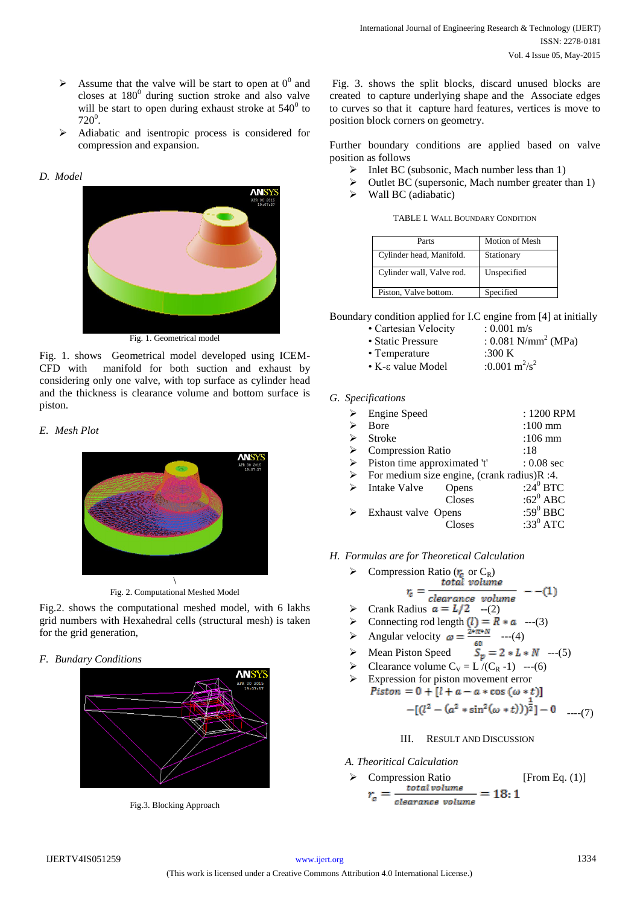- $\triangleright$  Assume that the valve will be start to open at  $0^0$  and closes at  $180^0$  during suction stroke and also valve will be start to open during exhaust stroke at  $540^{\circ}$  to  $720^0$ .
- Adiabatic and isentropic process is considered for compression and expansion.

## *D. Model*



Fig. 1. shows Geometrical model developed using ICEM-CFD with manifold for both suction and exhaust by considering only one valve, with top surface as cylinder head and the thickness is clearance volume and bottom surface is piston.

## *E. Mesh Plot*



Fig. 2. Computational Meshed Model

Fig.2. shows the computational meshed model, with 6 lakhs grid numbers with Hexahedral cells (structural mesh) is taken for the grid generation,

*F. Bundary Conditions* 





Fig. 3. shows the split blocks, discard unused blocks are created to capture underlying shape and the Associate edges to curves so that it capture hard features, vertices is move to position block corners on geometry.

Further boundary conditions are applied based on valve position as follows

- $\triangleright$  Inlet BC (subsonic, Mach number less than 1)
- $\triangleright$  Outlet BC (supersonic, Mach number greater than 1)
- $\triangleright$  Wall BC (adiabatic)

TABLE I. WALL BOUNDARY CONDITION

| Parts                     | Motion of Mesh |
|---------------------------|----------------|
| Cylinder head, Manifold.  | Stationary     |
| Cylinder wall, Valve rod. | Unspecified    |
| Piston, Valve bottom.     | Specified      |

Boundary condition applied for I.C engine from [4] at initially

| • Cartesian Velocity | $: 0.001 \text{ m/s}$             |
|----------------------|-----------------------------------|
| • Static Pressure    | : $0.081$ N/mm <sup>2</sup> (MPa) |

- Temperature :300 K
- K-ε value Model :0.001  $m^2/s^2$
- *G. Specifications*

| ➤ | <b>Engine Speed</b>                              |        | : 1200 RPM        |
|---|--------------------------------------------------|--------|-------------------|
| ⋗ | <b>B</b> ore                                     |        | $:100 \text{ mm}$ |
| ⋗ | <b>Stroke</b>                                    |        | $:106$ mm         |
| ➤ | <b>Compression Ratio</b>                         |        | :18               |
|   | $\triangleright$ Piston time approximated 't'    |        | $: 0.08$ sec      |
|   | > For medium size engine, (crank radius) $R:4$ . |        |                   |
| ➤ | Intake Valve                                     | Opens  | :24 $^0$ BTC      |
|   |                                                  | Closes | : $62^0$ ABC      |
|   | Exhaust valve Opens                              |        | :59 $0$ BBC       |
|   |                                                  | Closes | :33 $^0$ ATC      |
|   |                                                  |        |                   |

*H. Formulas are for Theoretical Calculation* 

$$
\geq \text{ Compression Ratio } (r_c \text{ or } C_R)
$$
  

$$
r_c = \frac{\text{total volume}}{1 - (1)}
$$

- clearance volume  $\triangleright$  Crank Radius  $a = L/2$  --(2)
- $\triangleright$  Connecting rod length  $(l) = R * a$  ---(3)
- Angular velocity  $\omega = \frac{24\pi 4}{\pi}$  ---(4)
	-
- $\triangleright$  Mean Piston Speed  $S_n = 2 * L * N$  ---(5)
- Clearance volume  $C_V = L / (C_R 1)$  ---(6)
- Expression for piston movement error Piston =  $0 + [l + a - a * \cos (\omega * t)]$

$$
-[(l2 - (a2 * sin2(\omega * t)))2]-0
$$
 ----(7)

## III. RESULT AND DISCUSSION

- *A. Theoritical Calculation*
- > Compression Ratio [From Eq. (1)]<br> $r_c = \frac{total \, volume}{cleanance \, volume} = 18:1$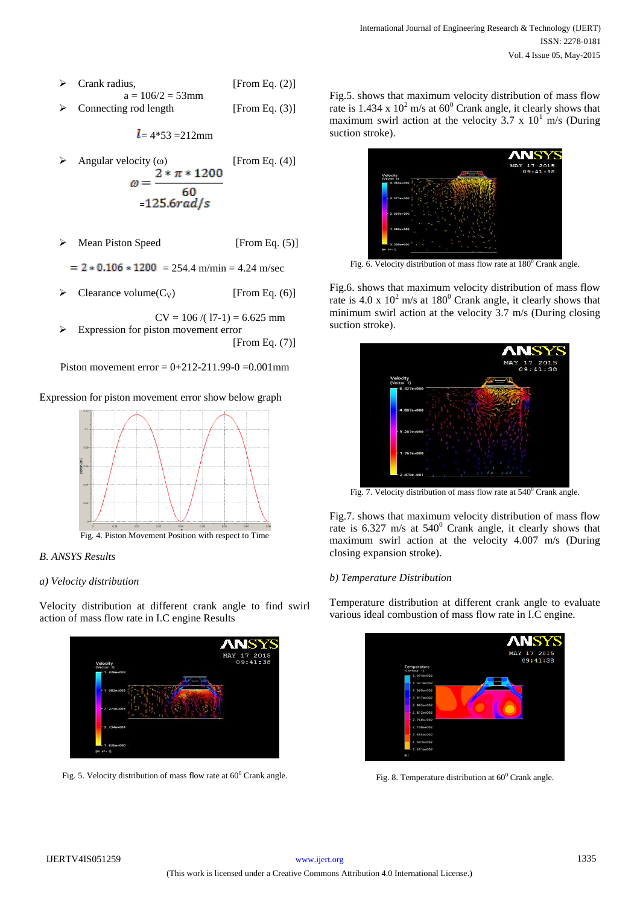- $\triangleright$  Crank radius, [From Eq. (2)]  $a = 106/2 = 53$ mm
- Connecting rod length [From Eq. (3)]

$$
l = 4*53 = 212
$$
mm

- Angular velocity (ω) [From Eq. (4)]<br> $\omega = \frac{2 * \pi * 1200}{60}$  $=125.6rad/s$
- $\triangleright$  Mean Piston Speed [From Eq. (5)]
- $= 2 * 0.106 * 1200 = 254.4$  m/min = 4.24 m/sec
- Clearance volume $(C_V)$  [From Eq. (6)]

 $CV = 106 / (17-1) = 6.625$  mm  $\triangleright$  Expression for piston movement error [From Eq. (7)]

Piston movement error =  $0+212-211.99-0 = 0.001$ mm

## Expression for piston movement error show below graph



## *B. ANSYS Results*

## *a) Velocity distribution*

Velocity distribution at different crank angle to find swirl action of mass flow rate in I.C engine Results



Fig. 5. Velocity distribution of mass flow rate at  $60^{\circ}$  Crank angle.

Fig.5. shows that maximum velocity distribution of mass flow rate is  $1.434 \times 10^2$  m/s at  $60^{\circ}$  Crank angle, it clearly shows that maximum swirl action at the velocity 3.7 x  $10<sup>1</sup>$  m/s (During suction stroke).



Fig. 6. Velocity distribution of mass flow rate at  $180^{\circ}$  Crank angle.

Fig.6. shows that maximum velocity distribution of mass flow rate is 4.0 x  $10^2$  m/s at  $180^0$  Crank angle, it clearly shows that minimum swirl action at the velocity 3.7 m/s (During closing suction stroke).



Fig. 7. Velocity distribution of mass flow rate at  $540^0$  Crank angle.

Fig.7. shows that maximum velocity distribution of mass flow rate is  $6.327 \text{ m/s}$  at  $540^{\circ}$  Crank angle, it clearly shows that maximum swirl action at the velocity 4.007 m/s (During closing expansion stroke).

## *b) Temperature Distribution*

Temperature distribution at different crank angle to evaluate various ideal combustion of mass flow rate in I.C engine.



Fig. 8. Temperature distribution at  $60^{\circ}$  Crank angle.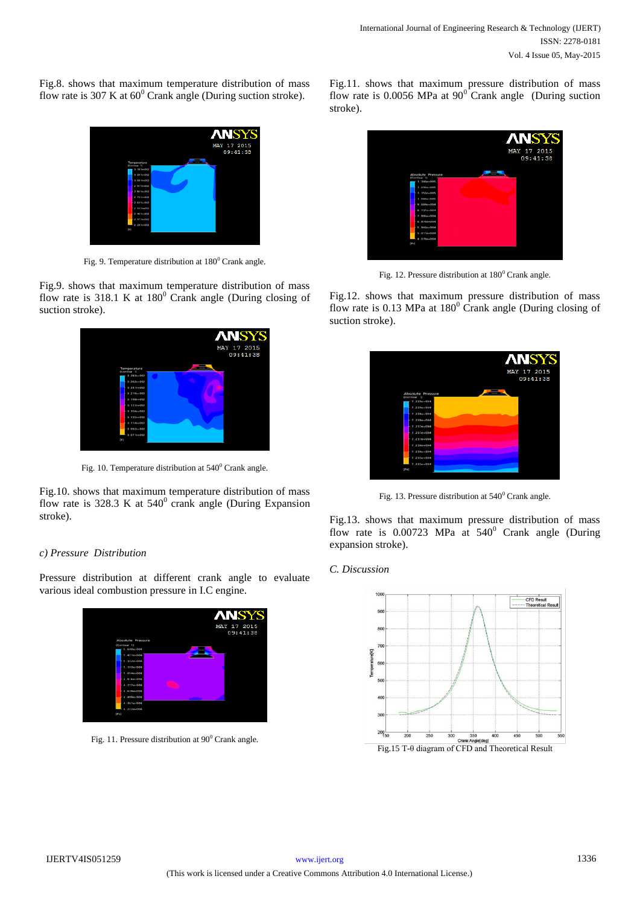Fig.8. shows that maximum temperature distribution of mass flow rate is 307 K at  $60^{\circ}$  Crank angle (During suction stroke).



Fig. 9. Temperature distribution at  $180^{\circ}$  Crank angle.

Fig.9. shows that maximum temperature distribution of mass flow rate is 318.1 K at  $180^{\circ}$  Crank angle (During closing of suction stroke).



Fig. 10. Temperature distribution at  $540^{\circ}$  Crank angle.

Fig.10. shows that maximum temperature distribution of mass flow rate is 328.3 K at  $540^{\circ}$  crank angle (During Expansion stroke).

## *c) Pressure Distribution*

Pressure distribution at different crank angle to evaluate various ideal combustion pressure in I.C engine.



Fig. 11. Pressure distribution at  $90^{\circ}$  Crank angle.

Fig.11. shows that maximum pressure distribution of mass flow rate is 0.0056 MPa at  $90^\circ$  Crank angle (During suction stroke).



Fig. 12. Pressure distribution at  $180^0$  Crank angle.

Fig.12. shows that maximum pressure distribution of mass flow rate is  $0.13$  MPa at  $180^{\circ}$  Crank angle (During closing of suction stroke).



Fig. 13. Pressure distribution at  $540^{\rm o}$  Crank angle.

Fig.13. shows that maximum pressure distribution of mass flow rate is  $0.00723$  MPa at  $540^{\circ}$  Crank angle (During expansion stroke).

### *C. Discussion*